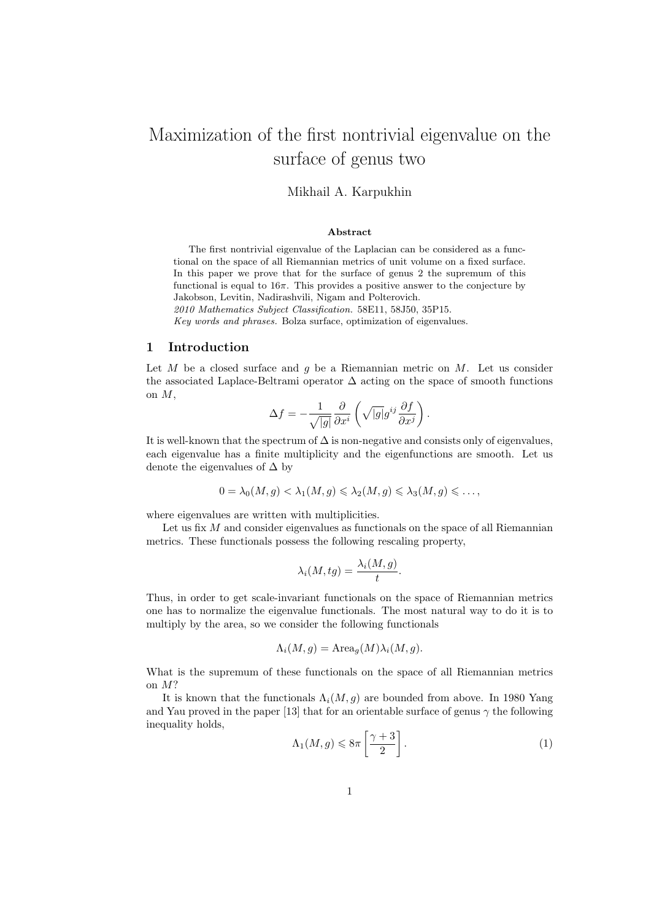# Maximization of the first nontrivial eigenvalue on the surface of genus two

# Mikhail A. Karpukhin

#### Abstract

The first nontrivial eigenvalue of the Laplacian can be considered as a functional on the space of all Riemannian metrics of unit volume on a fixed surface. In this paper we prove that for the surface of genus 2 the supremum of this functional is equal to  $16\pi$ . This provides a positive answer to the conjecture by Jakobson, Levitin, Nadirashvili, Nigam and Polterovich.

2010 Mathematics Subject Classification. 58E11, 58J50, 35P15.

Key words and phrases. Bolza surface, optimization of eigenvalues.

#### 1 Introduction

Let M be a closed surface and q be a Riemannian metric on M. Let us consider the associated Laplace-Beltrami operator  $\Delta$  acting on the space of smooth functions on M,

$$
\Delta f = -\frac{1}{\sqrt{|g|}} \frac{\partial}{\partial x^i} \left( \sqrt{|g|} g^{ij} \frac{\partial f}{\partial x^j} \right).
$$

It is well-known that the spectrum of  $\Delta$  is non-negative and consists only of eigenvalues, each eigenvalue has a finite multiplicity and the eigenfunctions are smooth. Let us denote the eigenvalues of  $\Delta$  by

$$
0 = \lambda_0(M, g) < \lambda_1(M, g) \leqslant \lambda_2(M, g) \leqslant \lambda_3(M, g) \leqslant \dots,
$$

where eigenvalues are written with multiplicities.

Let us fix  $M$  and consider eigenvalues as functionals on the space of all Riemannian metrics. These functionals possess the following rescaling property,

$$
\lambda_i(M, tg) = \frac{\lambda_i(M, g)}{t}.
$$

Thus, in order to get scale-invariant functionals on the space of Riemannian metrics one has to normalize the eigenvalue functionals. The most natural way to do it is to multiply by the area, so we consider the following functionals

$$
\Lambda_i(M,g) = \text{Area}_g(M)\lambda_i(M,g).
$$

What is the supremum of these functionals on the space of all Riemannian metrics on M?

It is known that the functionals  $\Lambda_i(M, g)$  are bounded from above. In 1980 Yang and Yau proved in the paper [13] that for an orientable surface of genus  $\gamma$  the following inequality holds,

$$
\Lambda_1(M,g) \leq 8\pi \left[\frac{\gamma+3}{2}\right].\tag{1}
$$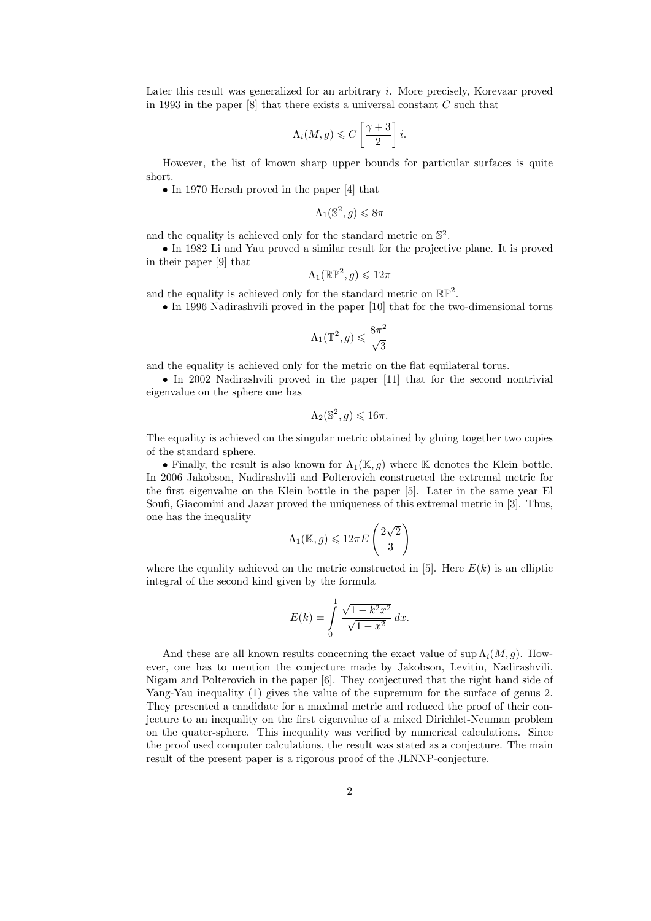Later this result was generalized for an arbitrary i. More precisely, Korevaar proved in 1993 in the paper  $[8]$  that there exists a universal constant  $C$  such that

$$
\Lambda_i(M,g) \leqslant C\left[\frac{\gamma+3}{2}\right]i.
$$

However, the list of known sharp upper bounds for particular surfaces is quite short.

• In 1970 Hersch proved in the paper [4] that

$$
\Lambda_1(\mathbb{S}^2, g) \leq 8\pi
$$

and the equality is achieved only for the standard metric on  $\mathbb{S}^2$ .

• In 1982 Li and Yau proved a similar result for the projective plane. It is proved in their paper [9] that

$$
\Lambda_1(\mathbb{RP}^2, g) \leqslant 12\pi
$$

and the equality is achieved only for the standard metric on  $\mathbb{RP}^2$ .

• In 1996 Nadirashvili proved in the paper [10] that for the two-dimensional torus

$$
\Lambda_1(\mathbb{T}^2, g) \leqslant \frac{8\pi^2}{\sqrt{3}}
$$

and the equality is achieved only for the metric on the flat equilateral torus.

• In 2002 Nadirashvili proved in the paper [11] that for the second nontrivial eigenvalue on the sphere one has

$$
\Lambda_2(\mathbb{S}^2,g)\leqslant 16\pi.
$$

The equality is achieved on the singular metric obtained by gluing together two copies of the standard sphere.

• Finally, the result is also known for  $\Lambda_1(\mathbb{K}, q)$  where K denotes the Klein bottle. In 2006 Jakobson, Nadirashvili and Polterovich constructed the extremal metric for the first eigenvalue on the Klein bottle in the paper [5]. Later in the same year El Soufi, Giacomini and Jazar proved the uniqueness of this extremal metric in [3]. Thus, one has the inequality √

$$
\Lambda_1(\mathbb{K}, g) \leqslant 12\pi E\left(\frac{2\sqrt{2}}{3}\right)
$$

where the equality achieved on the metric constructed in [5]. Here  $E(k)$  is an elliptic integral of the second kind given by the formula

$$
E(k) = \int_{0}^{1} \frac{\sqrt{1 - k^2 x^2}}{\sqrt{1 - x^2}} dx.
$$

And these are all known results concerning the exact value of sup  $\Lambda_i(M, g)$ . However, one has to mention the conjecture made by Jakobson, Levitin, Nadirashvili, Nigam and Polterovich in the paper [6]. They conjectured that the right hand side of Yang-Yau inequality (1) gives the value of the supremum for the surface of genus 2. They presented a candidate for a maximal metric and reduced the proof of their conjecture to an inequality on the first eigenvalue of a mixed Dirichlet-Neuman problem on the quater-sphere. This inequality was verified by numerical calculations. Since the proof used computer calculations, the result was stated as a conjecture. The main result of the present paper is a rigorous proof of the JLNNP-conjecture.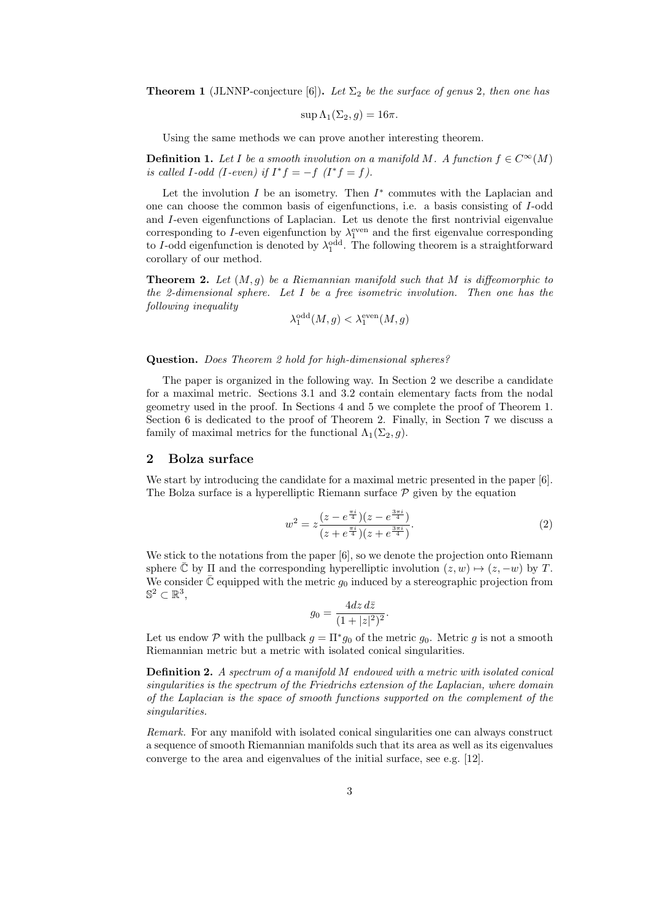**Theorem 1** (JLNNP-conjecture [6]). Let  $\Sigma_2$  be the surface of genus 2, then one has

$$
\sup \Lambda_1(\Sigma_2, g) = 16\pi.
$$

Using the same methods we can prove another interesting theorem.

**Definition 1.** Let I be a smooth involution on a manifold M. A function  $f \in C^{\infty}(M)$ is called I-odd (I-even) if  $I^*f = -f$   $(I^*f = f)$ .

Let the involution  $I$  be an isometry. Then  $I^*$  commutes with the Laplacian and one can choose the common basis of eigenfunctions, i.e. a basis consisting of I-odd and I-even eigenfunctions of Laplacian. Let us denote the first nontrivial eigenvalue corresponding to I-even eigenfunction by  $\lambda_1^{\text{even}}$  and the first eigenvalue corresponding to I-odd eigenfunction is denoted by  $\lambda_1^{\text{odd}}$ . The following theorem is a straightforward corollary of our method.

**Theorem 2.** Let  $(M, g)$  be a Riemannian manifold such that M is diffeomorphic to the 2-dimensional sphere. Let  $I$  be a free isometric involution. Then one has the following inequality

$$
\lambda_1^{\text{odd}}(M,g) < \lambda_1^{\text{even}}(M,g)
$$

Question. Does Theorem 2 hold for high-dimensional spheres?

The paper is organized in the following way. In Section 2 we describe a candidate for a maximal metric. Sections 3.1 and 3.2 contain elementary facts from the nodal geometry used in the proof. In Sections 4 and 5 we complete the proof of Theorem 1. Section 6 is dedicated to the proof of Theorem 2. Finally, in Section 7 we discuss a family of maximal metrics for the functional  $\Lambda_1(\Sigma_2, g)$ .

## 2 Bolza surface

We start by introducing the candidate for a maximal metric presented in the paper [6]. The Bolza surface is a hyperelliptic Riemann surface  $P$  given by the equation

$$
w^{2} = z \frac{(z - e^{\frac{\pi i}{4}})(z - e^{\frac{3\pi i}{4}})}{(z + e^{\frac{\pi i}{4}})(z + e^{\frac{3\pi i}{4}})}.
$$
\n(2)

We stick to the notations from the paper [6], so we denote the projection onto Riemann sphere  $\overline{\mathbb{C}}$  by  $\Pi$  and the corresponding hyperelliptic involution  $(z, w) \mapsto (z, -w)$  by T. We consider  $\overline{\mathbb{C}}$  equipped with the metric  $g_0$  induced by a stereographic projection from  $\mathbb{S}^2 \subset \mathbb{R}^3$ ,

$$
g_0 = \frac{4dz \, d\bar{z}}{(1+|z|^2)^2}.
$$

Let us endow P with the pullback  $g = \Pi^* g_0$  of the metric  $g_0$ . Metric g is not a smooth Riemannian metric but a metric with isolated conical singularities.

Definition 2. A spectrum of a manifold M endowed with a metric with isolated conical singularities is the spectrum of the Friedrichs extension of the Laplacian, where domain of the Laplacian is the space of smooth functions supported on the complement of the singularities.

Remark. For any manifold with isolated conical singularities one can always construct a sequence of smooth Riemannian manifolds such that its area as well as its eigenvalues converge to the area and eigenvalues of the initial surface, see e.g. [12].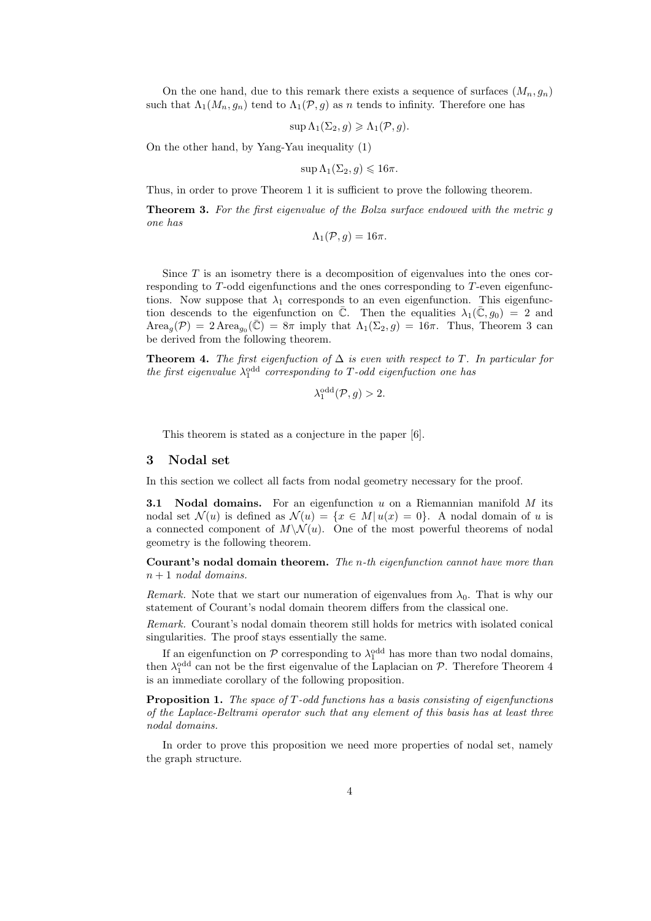On the one hand, due to this remark there exists a sequence of surfaces  $(M_n, g_n)$ such that  $\Lambda_1(M_n, g_n)$  tend to  $\Lambda_1(\mathcal{P}, g)$  as n tends to infinity. Therefore one has

$$
\sup \Lambda_1(\Sigma_2, g) \geqslant \Lambda_1(\mathcal{P}, g).
$$

On the other hand, by Yang-Yau inequality (1)

 $\sup \Lambda_1(\Sigma_2, q) \leq 16\pi.$ 

Thus, in order to prove Theorem 1 it is sufficient to prove the following theorem.

Theorem 3. For the first eigenvalue of the Bolza surface endowed with the metric g one has

$$
\Lambda_1(\mathcal{P},g)=16\pi.
$$

Since  $T$  is an isometry there is a decomposition of eigenvalues into the ones corresponding to T-odd eigenfunctions and the ones corresponding to T-even eigenfunctions. Now suppose that  $\lambda_1$  corresponds to an even eigenfunction. This eigenfunction descends to the eigenfunction on  $\overline{C}$ . Then the equalities  $\lambda_1(\overline{C}, g_0) = 2$  and  $Area_g(\mathcal{P}) = 2 \text{Area}_{g_0}(\overline{\mathbb{C}}) = 8\pi$  imply that  $\Lambda_1(\Sigma_2, g) = 16\pi$ . Thus, Theorem 3 can be derived from the following theorem.

**Theorem 4.** The first eigenfuction of  $\Delta$  is even with respect to T. In particular for the first eigenvalue  $\lambda_1^{\text{odd}}$  corresponding to T-odd eigenfuction one has

$$
\lambda_1^{\text{odd}}(\mathcal{P}, g) > 2.
$$

odd

This theorem is stated as a conjecture in the paper [6].

# 3 Nodal set

In this section we collect all facts from nodal geometry necessary for the proof.

**3.1 Nodal domains.** For an eigenfunction  $u$  on a Riemannian manifold  $M$  its nodal set  $\mathcal{N}(u)$  is defined as  $\mathcal{N}(u) = \{x \in M | u(x) = 0\}$ . A nodal domain of u is a connected component of  $M\setminus \mathcal{N}(u)$ . One of the most powerful theorems of nodal geometry is the following theorem.

Courant's nodal domain theorem. The  $n$ -th eigenfunction cannot have more than  $n+1$  nodal domains.

Remark. Note that we start our numeration of eigenvalues from  $\lambda_0$ . That is why our statement of Courant's nodal domain theorem differs from the classical one.

Remark. Courant's nodal domain theorem still holds for metrics with isolated conical singularities. The proof stays essentially the same.

If an eigenfunction on  $P$  corresponding to  $\lambda_1^{\text{odd}}$  has more than two nodal domains, then  $\lambda_1^{\text{odd}}$  can not be the first eigenvalue of the Laplacian on  $P$ . Therefore Theorem 4 is an immediate corollary of the following proposition.

**Proposition 1.** The space of  $T$ -odd functions has a basis consisting of eigenfunctions of the Laplace-Beltrami operator such that any element of this basis has at least three nodal domains.

In order to prove this proposition we need more properties of nodal set, namely the graph structure.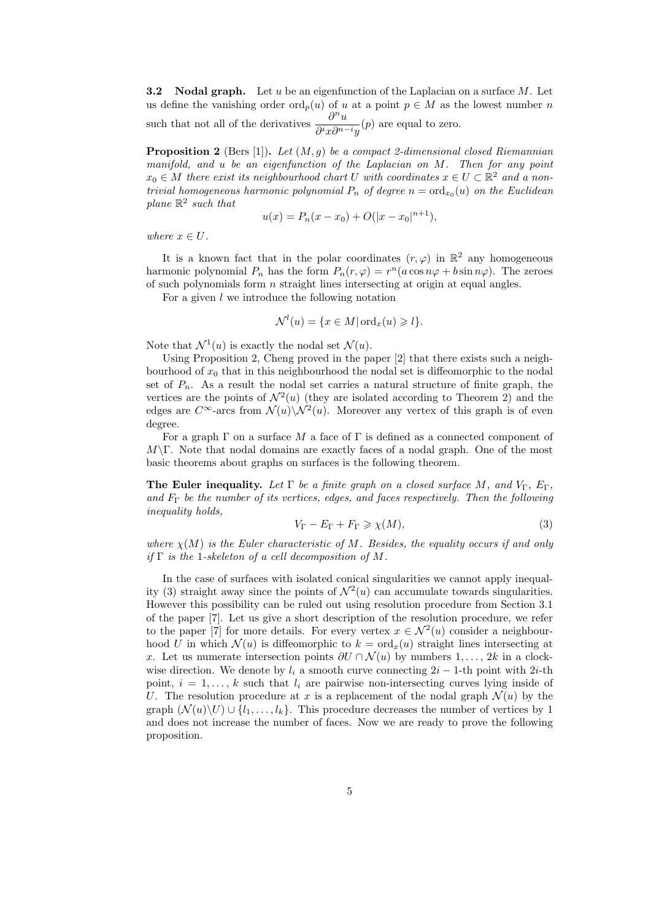**3.2** Nodal graph. Let u be an eigenfunction of the Laplacian on a surface M. Let us define the vanishing order  $\mathrm{ord}_p(u)$  of u at a point  $p \in M$  as the lowest number n such that not all of the derivatives  $\frac{\partial^n u}{\partial \phi_n}$  $\frac{\partial}{\partial^i x \partial^{n-i} y}(p)$  are equal to zero.

**Proposition 2** (Bers [1]). Let  $(M, g)$  be a compact 2-dimensional closed Riemannian manifold, and u be an eigenfunction of the Laplacian on M. Then for any point  $x_0 \in M$  there exist its neighbourhood chart U with coordinates  $x \in U \subset \mathbb{R}^2$  and a nontrivial homogeneous harmonic polynomial  $P_n$  of degree  $n = \text{ord}_{x_0}(u)$  on the Euclidean plane  $\mathbb{R}^2$  such that

$$
u(x) = P_n(x - x_0) + O(|x - x_0|^{n+1}),
$$

where  $x \in U$ .

It is a known fact that in the polar coordinates  $(r, \varphi)$  in  $\mathbb{R}^2$  any homogeneous harmonic polynomial  $P_n$  has the form  $P_n(r, \varphi) = r^n(a \cos n\varphi + b \sin n\varphi)$ . The zeroes of such polynomials form  $n$  straight lines intersecting at origin at equal angles.

For a given  $l$  we introduce the following notation

$$
\mathcal{N}^l(u) = \{ x \in M | \operatorname{ord}_x(u) \geqslant l \}.
$$

Note that  $\mathcal{N}^1(u)$  is exactly the nodal set  $\mathcal{N}(u)$ .

Using Proposition 2, Cheng proved in the paper [2] that there exists such a neighbourhood of  $x_0$  that in this neighbourhood the nodal set is diffeomorphic to the nodal set of  $P_n$ . As a result the nodal set carries a natural structure of finite graph, the vertices are the points of  $\mathcal{N}^2(u)$  (they are isolated according to Theorem 2) and the edges are  $C^{\infty}$ -arcs from  $\mathcal{N}(u)\backslash \mathcal{N}^2(u)$ . Moreover any vertex of this graph is of even degree.

For a graph  $\Gamma$  on a surface M a face of  $\Gamma$  is defined as a connected component of  $M\Gamma$ . Note that nodal domains are exactly faces of a nodal graph. One of the most basic theorems about graphs on surfaces is the following theorem.

The Euler inequality. Let  $\Gamma$  be a finite graph on a closed surface M, and  $V_{\Gamma}$ ,  $E_{\Gamma}$ , and  $F_{\Gamma}$  be the number of its vertices, edges, and faces respectively. Then the following inequality holds,

$$
V_{\Gamma} - E_{\Gamma} + F_{\Gamma} \ge \chi(M),\tag{3}
$$

where  $\chi(M)$  is the Euler characteristic of M. Besides, the equality occurs if and only if  $\Gamma$  is the 1-skeleton of a cell decomposition of M.

In the case of surfaces with isolated conical singularities we cannot apply inequality (3) straight away since the points of  $\mathcal{N}^2(u)$  can accumulate towards singularities. However this possibility can be ruled out using resolution procedure from Section 3.1 of the paper [7]. Let us give a short description of the resolution procedure, we refer to the paper [7] for more details. For every vertex  $x \in \mathcal{N}^2(u)$  consider a neighbourhood U in which  $\mathcal{N}(u)$  is diffeomorphic to  $k = \text{ord}_{x}(u)$  straight lines intersecting at x. Let us numerate intersection points  $\partial U \cap \mathcal{N}(u)$  by numbers 1, ..., 2k in a clockwise direction. We denote by  $l_i$  a smooth curve connecting  $2i - 1$ -th point with 2*i*-th point,  $i = 1, \ldots, k$  such that  $l_i$  are pairwise non-intersecting curves lying inside of U. The resolution procedure at x is a replacement of the nodal graph  $\mathcal{N}(u)$  by the graph  $(\mathcal{N}(u)\backslash U) \cup \{l_1,\ldots,l_k\}$ . This procedure decreases the number of vertices by 1 and does not increase the number of faces. Now we are ready to prove the following proposition.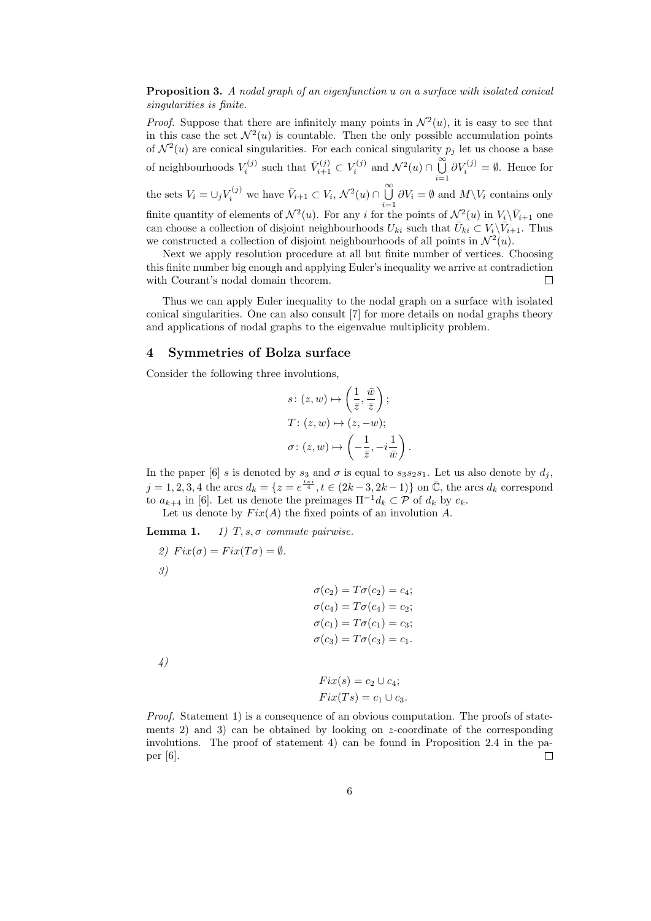Proposition 3. A nodal graph of an eigenfunction u on a surface with isolated conical singularities is finite.

*Proof.* Suppose that there are infinitely many points in  $\mathcal{N}^2(u)$ , it is easy to see that in this case the set  $\mathcal{N}^2(u)$  is countable. Then the only possible accumulation points of  $\mathcal{N}^2(u)$  are conical singularities. For each conical singularity  $p_j$  let us choose a base of neighbourhoods  $V_i^{(j)}$  such that  $\bar{V}_{i+1}^{(j)} \subset V_i^{(j)}$  and  $\mathcal{N}^2(u) \cap \bigcup_{i=1}^{\infty}$  $i=1$  $\partial V_i^{(j)} = \emptyset$ . Hence for the sets  $V_i = \bigcup_j V_i^{(j)}$  we have  $\bar{V}_{i+1} \subset V_i$ ,  $\mathcal{N}^2(u) \cap \bigcup_{i=1}^{\infty}$  $\bigcup_{i=1} \partial V_i = \emptyset$  and  $M \backslash V_i$  contains only finite quantity of elements of  $\mathcal{N}^2(u)$ . For any i for the points of  $\mathcal{N}^2(u)$  in  $V_i\backslash \bar{V}_{i+1}$  one can choose a collection of disjoint neighbourhoods  $U_{ki}$  such that  $\bar{U}_{ki} \subset V_i \backslash \bar{V}_{i+1}$ . Thus we constructed a collection of disjoint neighbourhoods of all points in  $\mathcal{N}^2(u)$ .

Next we apply resolution procedure at all but finite number of vertices. Choosing this finite number big enough and applying Euler's inequality we arrive at contradiction with Courant's nodal domain theorem.  $\Box$ 

Thus we can apply Euler inequality to the nodal graph on a surface with isolated conical singularities. One can also consult [7] for more details on nodal graphs theory and applications of nodal graphs to the eigenvalue multiplicity problem.

# 4 Symmetries of Bolza surface

Consider the following three involutions,

$$
s: (z, w) \mapsto \left(\frac{1}{\overline{z}}, \frac{\overline{w}}{\overline{z}}\right);
$$
  

$$
T: (z, w) \mapsto (z, -w);
$$
  

$$
\sigma: (z, w) \mapsto \left(-\frac{1}{\overline{z}}, -i\frac{1}{\overline{w}}\right).
$$

In the paper [6] s is denoted by  $s_3$  and  $\sigma$  is equal to  $s_3s_2s_1$ . Let us also denote by  $d_i$ ,  $j = 1, 2, 3, 4$  the arcs  $d_k = \{z = e^{\frac{t\pi i}{4}}, t \in (2k-3, 2k-1)\}$  on  $\overline{C}$ , the arcs  $d_k$  correspond to  $a_{k+4}$  in [6]. Let us denote the preimages  $\Pi^{-1}d_k \subset \mathcal{P}$  of  $d_k$  by  $c_k$ .

Let us denote by  $Fix(A)$  the fixed points of an involution A.

**Lemma 1.** 1)  $T, s, \sigma$  commute pairwise.

2) 
$$
Fix(\sigma) = Fix(T\sigma) = \emptyset.
$$

3)

 $\sigma(c_2) = T\sigma(c_2) = c_4;$  $\sigma(c_4) = T\sigma(c_4) = c_2;$  $\sigma(c_1) = T\sigma(c_1) = c_3;$  $\sigma(c_3) = T\sigma(c_3) = c_1.$ 

4)

 $Fix(s) = c_2 \cup c_4;$  $Fix(Ts) = c_1 \cup c_3.$ 

Proof. Statement 1) is a consequence of an obvious computation. The proofs of statements 2) and 3) can be obtained by looking on  $z$ -coordinate of the corresponding involutions. The proof of statement 4) can be found in Proposition 2.4 in the paper [6].  $\Box$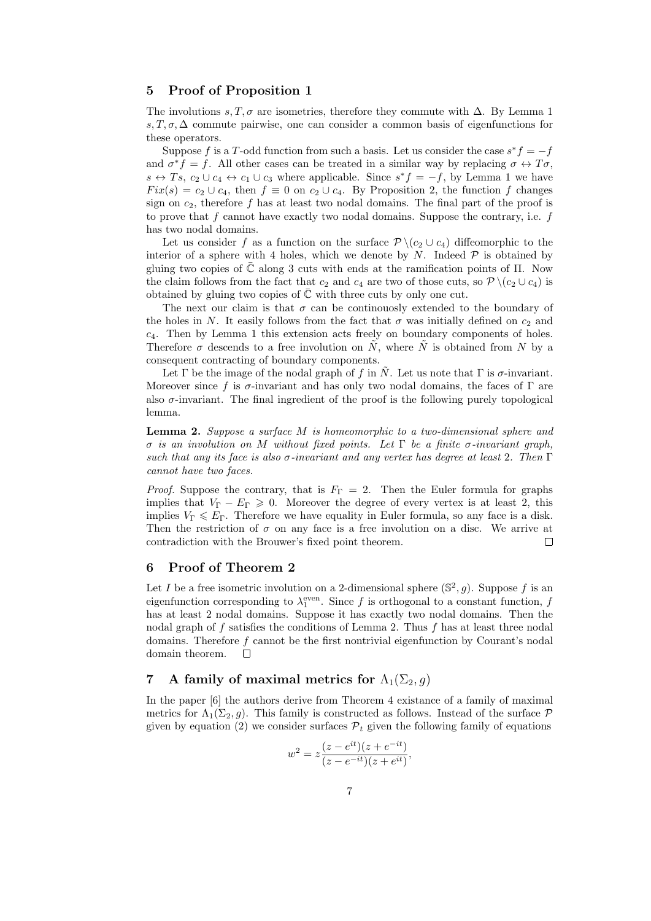# 5 Proof of Proposition 1

The involutions s, T,  $\sigma$  are isometries, therefore they commute with  $\Delta$ . By Lemma 1 s,  $T, \sigma, \Delta$  commute pairwise, one can consider a common basis of eigenfunctions for these operators.

Suppose f is a T-odd function from such a basis. Let us consider the case  $s^*f = -f$ and  $\sigma^* f = f$ . All other cases can be treated in a similar way by replacing  $\sigma \leftrightarrow T\sigma$ ,  $s \leftrightarrow Ts$ ,  $c_2 \cup c_4 \leftrightarrow c_1 \cup c_3$  where applicable. Since  $s^*f = -f$ , by Lemma 1 we have  $Fix(s) = c_2 \cup c_4$ , then  $f \equiv 0$  on  $c_2 \cup c_4$ . By Proposition 2, the function f changes sign on  $c_2$ , therefore f has at least two nodal domains. The final part of the proof is to prove that  $f$  cannot have exactly two nodal domains. Suppose the contrary, i.e.  $f$ has two nodal domains.

Let us consider f as a function on the surface  $\mathcal{P} \setminus (c_2 \cup c_4)$  diffeomorphic to the interior of a sphere with 4 holes, which we denote by  $N$ . Indeed  $P$  is obtained by gluing two copies of  $\overline{\mathbb{C}}$  along 3 cuts with ends at the ramification points of  $\Pi$ . Now the claim follows from the fact that  $c_2$  and  $c_4$  are two of those cuts, so  $\mathcal{P} \setminus (c_2 \cup c_4)$  is obtained by gluing two copies of  $\overline{C}$  with three cuts by only one cut.

The next our claim is that  $\sigma$  can be continuously extended to the boundary of the holes in N. It easily follows from the fact that  $\sigma$  was initially defined on  $c_2$  and  $c_4$ . Then by Lemma 1 this extension acts freely on boundary components of holes. Therefore  $\sigma$  descends to a free involution on  $\tilde{N}$ , where  $\tilde{N}$  is obtained from N by a consequent contracting of boundary components.

Let Γ be the image of the nodal graph of f in  $\tilde{N}$ . Let us note that Γ is σ-invariant. Moreover since f is  $\sigma$ -invariant and has only two nodal domains, the faces of  $\Gamma$  are also  $\sigma$ -invariant. The final ingredient of the proof is the following purely topological lemma.

Lemma 2. Suppose a surface M is homeomorphic to a two-dimensional sphere and σ is an involution on M without fixed points. Let Γ be a finite σ-invariant graph, such that any its face is also  $\sigma$ -invariant and any vertex has degree at least 2. Then  $\Gamma$ cannot have two faces.

*Proof.* Suppose the contrary, that is  $F_{\Gamma} = 2$ . Then the Euler formula for graphs implies that  $V_{\Gamma} - E_{\Gamma} \geq 0$ . Moreover the degree of every vertex is at least 2, this implies  $V_{\Gamma} \leqslant E_{\Gamma}$ . Therefore we have equality in Euler formula, so any face is a disk. Then the restriction of  $\sigma$  on any face is a free involution on a disc. We arrive at contradiction with the Brouwer's fixed point theorem.  $\Box$ 

# 6 Proof of Theorem 2

Let I be a free isometric involution on a 2-dimensional sphere  $(\mathbb{S}^2, g)$ . Suppose f is an eigenfunction corresponding to  $\lambda_1^{\text{even}}$ . Since f is orthogonal to a constant function, f has at least 2 nodal domains. Suppose it has exactly two nodal domains. Then the nodal graph of  $f$  satisfies the conditions of Lemma 2. Thus  $f$  has at least three nodal domains. Therefore f cannot be the first nontrivial eigenfunction by Courant's nodal domain theorem.  $\Box$ 

# 7 A family of maximal metrics for  $\Lambda_1(\Sigma_2, g)$

In the paper [6] the authors derive from Theorem 4 existance of a family of maximal metrics for  $\Lambda_1(\Sigma_2, g)$ . This family is constructed as follows. Instead of the surface  $\mathcal P$ given by equation (2) we consider surfaces  $\mathcal{P}_t$  given the following family of equations

$$
w^{2} = z \frac{(z - e^{it})(z + e^{-it})}{(z - e^{-it})(z + e^{it})},
$$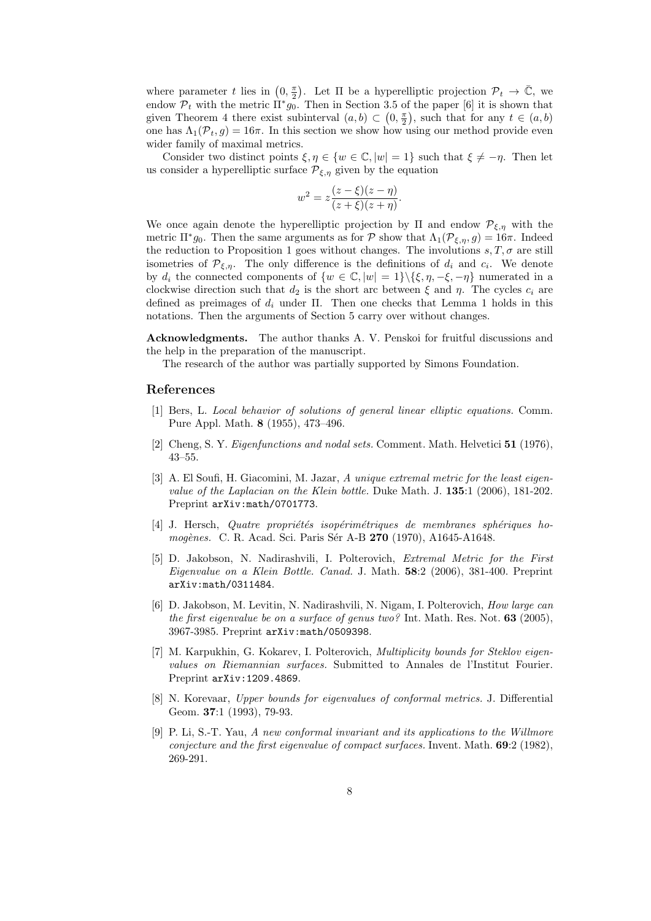where parameter t lies in  $(0, \frac{\pi}{2})$ . Let  $\Pi$  be a hyperelliptic projection  $\mathcal{P}_t \to \overline{\mathbb{C}}$ , we endow  $\mathcal{P}_t$  with the metric  $\prod^* g_0$ . Then in Section 3.5 of the paper [6] it is shown that given Theorem 4 there exist subinterval  $(a, b) \subset (0, \frac{\pi}{2})$ , such that for any  $t \in (a, b)$ one has  $\Lambda_1(\mathcal{P}_t, g) = 16\pi$ . In this section we show how using our method provide even wider family of maximal metrics.

Consider two distinct points  $\xi, \eta \in \{w \in \mathbb{C}, |w| = 1\}$  such that  $\xi \neq -\eta$ . Then let us consider a hyperelliptic surface  $\mathcal{P}_{\xi,\eta}$  given by the equation

$$
w^{2} = z \frac{(z - \xi)(z - \eta)}{(z + \xi)(z + \eta)}.
$$

We once again denote the hyperelliptic projection by  $\Pi$  and endow  $\mathcal{P}_{\xi,\eta}$  with the metric  $\Pi^* g_0$ . Then the same arguments as for  $P$  show that  $\Lambda_1(\mathcal{P}_{\xi,\eta}, g) = 16\pi$ . Indeed the reduction to Proposition 1 goes without changes. The involutions  $s, T, \sigma$  are still isometries of  $\mathcal{P}_{\xi,\eta}$ . The only difference is the definitions of  $d_i$  and  $c_i$ . We denote by  $d_i$  the connected components of  $\{w \in \mathbb{C}, |w| = 1\} \setminus {\{\xi, \eta, -\xi, -\eta\}}$  numerated in a clockwise direction such that  $d_2$  is the short arc between  $\xi$  and  $\eta$ . The cycles  $c_i$  are defined as preimages of  $d_i$  under  $\Pi$ . Then one checks that Lemma 1 holds in this notations. Then the arguments of Section 5 carry over without changes.

Acknowledgments. The author thanks A. V. Penskoi for fruitful discussions and the help in the preparation of the manuscript.

The research of the author was partially supported by Simons Foundation.

# References

- [1] Bers, L. Local behavior of solutions of general linear elliptic equations. Comm. Pure Appl. Math. 8 (1955), 473–496.
- [2] Cheng, S. Y. Eigenfunctions and nodal sets. Comment. Math. Helvetici 51 (1976), 43–55.
- [3] A. El Soufi, H. Giacomini, M. Jazar, A unique extremal metric for the least eigenvalue of the Laplacian on the Klein bottle. Duke Math. J. 135:1 (2006), 181-202. Preprint arXiv: math/0701773.
- $[4]$  J. Hersch, Quatre propriétés isopérimétriques de membranes sphériques homogènes. C. R. Acad. Sci. Paris Sér A-B 270 (1970), A1645-A1648.
- [5] D. Jakobson, N. Nadirashvili, I. Polterovich, Extremal Metric for the First Eigenvalue on a Klein Bottle. Canad. J. Math. 58:2 (2006), 381-400. Preprint arXiv:math/0311484.
- [6] D. Jakobson, M. Levitin, N. Nadirashvili, N. Nigam, I. Polterovich, How large can the first eigenvalue be on a surface of genus two? Int. Math. Res. Not.  $63$  (2005), 3967-3985. Preprint arXiv:math/0509398.
- [7] M. Karpukhin, G. Kokarev, I. Polterovich, Multiplicity bounds for Steklov eigenvalues on Riemannian surfaces. Submitted to Annales de l'Institut Fourier. Preprint arXiv:1209.4869.
- [8] N. Korevaar, Upper bounds for eigenvalues of conformal metrics. J. Differential Geom. 37:1 (1993), 79-93.
- [9] P. Li, S.-T. Yau, A new conformal invariant and its applications to the Willmore conjecture and the first eigenvalue of compact surfaces. Invent. Math. 69:2 (1982), 269-291.